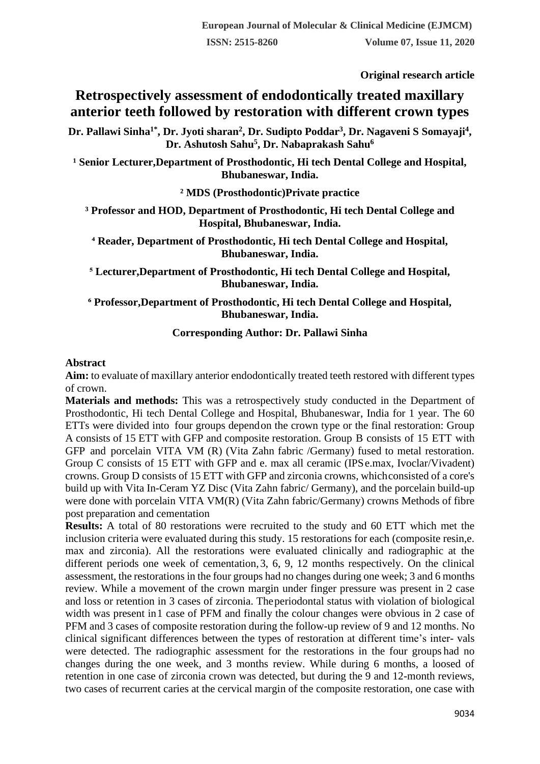**Original research article** 

# **Retrospectively assessment of endodontically treated maxillary anterior teeth followed by restoration with different crown types**

**Dr. Pallawi Sinha1\* , Dr. Jyoti sharan<sup>2</sup> , Dr. Sudipto Poddar<sup>3</sup> , Dr. Nagaveni S Somayaji<sup>4</sup> , Dr. Ashutosh Sahu<sup>5</sup> , Dr. Nabaprakash Sahu<sup>6</sup>**

<sup>1</sup> Senior Lecturer, Department of Prosthodontic, Hi tech Dental College and Hospital, **Bhubaneswar, India.**

**² MDS (Prosthodontic)Private practice**

**³ Professor and HOD, Department of Prosthodontic, Hi tech Dental College and Hospital, Bhubaneswar, India.**

**⁴ Reader, Department of Prosthodontic, Hi tech Dental College and Hospital, Bhubaneswar, India.**

**⁵ Lecturer,Department of Prosthodontic, Hi tech Dental College and Hospital, Bhubaneswar, India.**

**⁶ Professor,Department of Prosthodontic, Hi tech Dental College and Hospital, Bhubaneswar, India.**

## **Corresponding Author: Dr. Pallawi Sinha**

#### **Abstract**

**Aim:** to evaluate of maxillary anterior endodontically treated teeth restored with different types of crown.

**Materials and methods:** This was a retrospectively study conducted in the Department of Prosthodontic, Hi tech Dental College and Hospital, Bhubaneswar, India for 1 year. The 60 ETTs were divided into four groups dependon the crown type or the final restoration: Group A consists of 15 ETT with GFP and composite restoration. Group B consists of 15 ETT with GFP and porcelain VITA VM (R) (Vita Zahn fabric /Germany) fused to metal restoration. Group C consists of 15 ETT with GFP and e. max all ceramic (IPSe.max, Ivoclar/Vivadent) crowns. Group D consists of 15 ETT with GFP and zirconia crowns, whichconsisted of a core's build up with Vita In-Ceram YZ Disc (Vita Zahn fabric/ Germany), and the porcelain build-up were done with porcelain VITA VM(R) (Vita Zahn fabric/Germany) crowns Methods of fibre post preparation and cementation

**Results:** A total of 80 restorations were recruited to the study and 60 ETT which met the inclusion criteria were evaluated during this study. 15 restorations for each (composite resin,e. max and zirconia). All the restorations were evaluated clinically and radiographic at the different periods one week of cementation,3, 6, 9, 12 months respectively. On the clinical assessment, the restorations in the four groups had no changes during one week; 3 and 6 months review. While a movement of the crown margin under finger pressure was present in 2 case and loss or retention in 3 cases of zirconia. Theperiodontal status with violation of biological width was present in 1 case of PFM and finally the colour changes were obvious in 2 case of PFM and 3 cases of composite restoration during the follow-up review of 9 and 12 months. No clinical significant differences between the types of restoration at different time's inter- vals were detected. The radiographic assessment for the restorations in the four groups had no changes during the one week, and 3 months review. While during 6 months, a loosed of retention in one case of zirconia crown was detected, but during the 9 and 12-month reviews, two cases of recurrent caries at the cervical margin of the composite restoration, one case with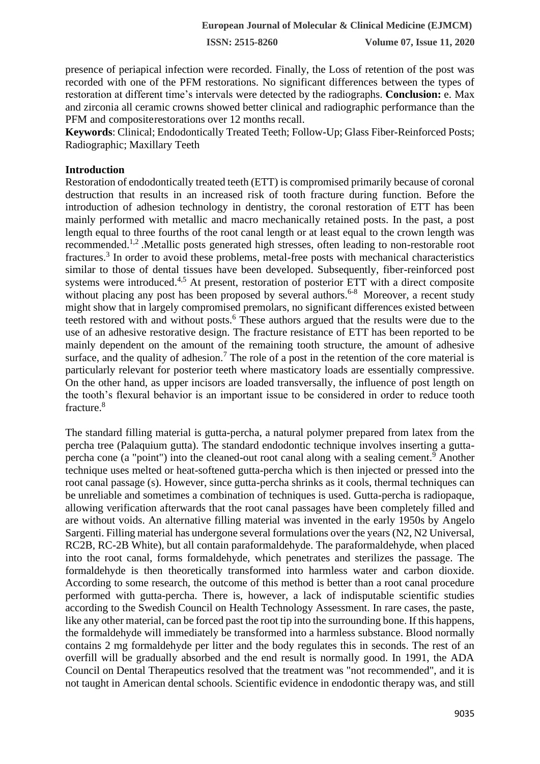presence of periapical infection were recorded. Finally, the Loss of retention of the post was recorded with one of the PFM restorations. No significant differences between the types of restoration at different time's intervals were detected by the radiographs. **Conclusion:** e. Max and zirconia all ceramic crowns showed better clinical and radiographic performance than the PFM and compositerestorations over 12 months recall.

**Keywords**: Clinical; Endodontically Treated Teeth; Follow-Up; Glass Fiber-Reinforced Posts; Radiographic; Maxillary Teeth

#### **Introduction**

Restoration of endodontically treated teeth (ETT) is compromised primarily because of coronal destruction that results in an increased risk of tooth fracture during function. Before the introduction of adhesion technology in dentistry, the coronal restoration of ETT has been mainly performed with metallic and macro mechanically retained posts. In the past, a post length equal to three fourths of the root canal length or at least equal to the crown length was recommended.1,2 .Metallic posts generated high stresses, often leading to non-restorable root fractures.<sup>3</sup> In order to avoid these problems, metal-free posts with mechanical characteristics similar to those of dental tissues have been developed. Subsequently, fiber-reinforced post systems were introduced.<sup>4,5</sup> At present, restoration of posterior ETT with a direct composite without placing any post has been proposed by several authors.<sup>6-8</sup> Moreover, a recent study might show that in largely compromised premolars, no significant differences existed between teeth restored with and without posts.<sup>6</sup> These authors argued that the results were due to the use of an adhesive restorative design. The fracture resistance of ETT has been reported to be mainly dependent on the amount of the remaining tooth structure, the amount of adhesive surface, and the quality of adhesion.<sup>7</sup> The role of a post in the retention of the core material is particularly relevant for posterior teeth where masticatory loads are essentially compressive. On the other hand, as upper incisors are loaded transversally, the influence of post length on the tooth's flexural behavior is an important issue to be considered in order to reduce tooth fracture.<sup>8</sup>

The standard filling material is gutta-percha, a natural polymer prepared from latex from the percha tree (Palaquium gutta). The standard endodontic technique involves inserting a guttapercha cone (a "point") into the cleaned-out root canal along with a sealing cement.<sup>9</sup> Another technique uses melted or heat-softened gutta-percha which is then injected or pressed into the root canal passage (s). However, since gutta-percha shrinks as it cools, thermal techniques can be unreliable and sometimes a combination of techniques is used. Gutta-percha is radiopaque, allowing verification afterwards that the root canal passages have been completely filled and are without voids. An alternative filling material was invented in the early 1950s by Angelo Sargenti. Filling material has undergone several formulations over the years (N2, N2 Universal, RC2B, RC-2B White), but all contain paraformaldehyde. The paraformaldehyde, when placed into the root canal, forms formaldehyde, which penetrates and sterilizes the passage. The formaldehyde is then theoretically transformed into harmless water and carbon dioxide. According to some research, the outcome of this method is better than a root canal procedure performed with gutta-percha. There is, however, a lack of indisputable scientific studies according to the Swedish Council on Health Technology Assessment. In rare cases, the paste, like any other material, can be forced past the root tip into the surrounding bone. If this happens, the formaldehyde will immediately be transformed into a harmless substance. Blood normally contains 2 mg formaldehyde per litter and the body regulates this in seconds. The rest of an overfill will be gradually absorbed and the end result is normally good. In 1991, the ADA Council on Dental Therapeutics resolved that the treatment was "not recommended", and it is not taught in American dental schools. Scientific evidence in endodontic therapy was, and still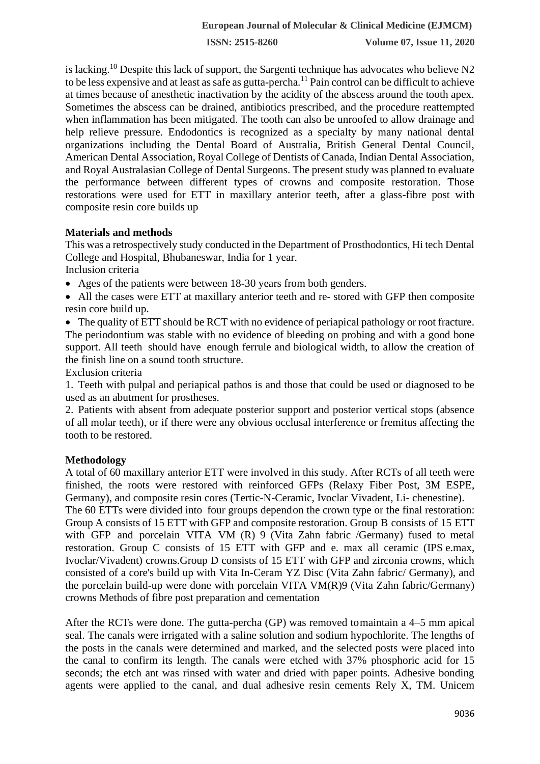is lacking.<sup>10</sup> Despite this lack of support, the Sargenti technique has advocates who believe N2 to be less expensive and at least as safe as gutta-percha.<sup>11</sup> Pain control can be difficult to achieve at times because of anesthetic inactivation by the acidity of the abscess around the tooth apex. Sometimes the abscess can be drained, antibiotics prescribed, and the procedure reattempted when inflammation has been mitigated. The tooth can also be unroofed to allow drainage and help relieve pressure. Endodontics is recognized as a specialty by many national dental organizations including the Dental Board of Australia, British General Dental Council, American Dental Association, Royal College of Dentists of Canada, Indian Dental Association, and Royal Australasian College of Dental Surgeons. The present study was planned to evaluate the performance between different types of crowns and composite restoration. Those restorations were used for ETT in maxillary anterior teeth, after a glass-fibre post with composite resin core builds up

#### **Materials and methods**

This was a retrospectively study conducted in the Department of Prosthodontics, Hi tech Dental College and Hospital, Bhubaneswar, India for 1 year.

Inclusion criteria

- Ages of the patients were between 18-30 years from both genders.
- All the cases were ETT at maxillary anterior teeth and re- stored with GFP then composite resin core build up.

• The quality of ETT should be RCT with no evidence of periapical pathology or root fracture. The periodontium was stable with no evidence of bleeding on probing and with a good bone support. All teeth should have enough ferrule and biological width, to allow the creation of the finish line on a sound tooth structure.

Exclusion criteria

1. Teeth with pulpal and periapical pathos is and those that could be used or diagnosed to be used as an abutment for prostheses.

2. Patients with absent from adequate posterior support and posterior vertical stops (absence of all molar teeth), or if there were any obvious occlusal interference or fremitus affecting the tooth to be restored.

## **Methodology**

A total of 60 maxillary anterior ETT were involved in this study. After RCTs of all teeth were finished, the roots were restored with reinforced GFPs (Relaxy Fiber Post, 3M ESPE, Germany), and composite resin cores (Tertic-N-Ceramic, Ivoclar Vivadent, Li- chenestine).

The 60 ETTs were divided into four groups dependon the crown type or the final restoration: Group A consists of 15 ETT with GFP and composite restoration. Group B consists of 15 ETT with GFP and porcelain VITA VM (R) 9 (Vita Zahn fabric /Germany) fused to metal restoration. Group C consists of 15 ETT with GFP and e. max all ceramic (IPS e.max, Ivoclar/Vivadent) crowns.Group D consists of 15 ETT with GFP and zirconia crowns, which consisted of a core's build up with Vita In-Ceram YZ Disc (Vita Zahn fabric/ Germany), and the porcelain build-up were done with porcelain VITA VM(R)9 (Vita Zahn fabric/Germany) crowns Methods of fibre post preparation and cementation

After the RCTs were done. The gutta-percha (GP) was removed tomaintain a 4–5 mm apical seal. The canals were irrigated with a saline solution and sodium hypochlorite. The lengths of the posts in the canals were determined and marked, and the selected posts were placed into the canal to confirm its length. The canals were etched with 37% phosphoric acid for 15 seconds; the etch ant was rinsed with water and dried with paper points. Adhesive bonding agents were applied to the canal, and dual adhesive resin cements Rely X, TM. Unicem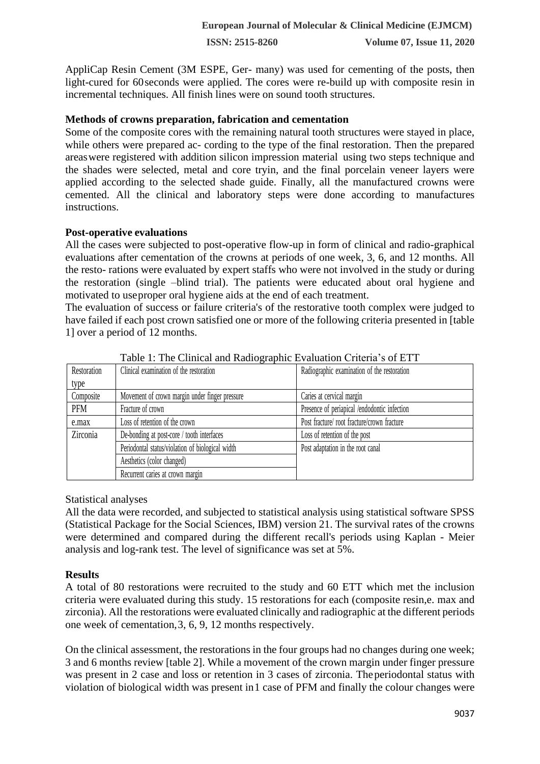AppliCap Resin Cement (3M ESPE, Ger- many) was used for cementing of the posts, then light-cured for 60seconds were applied. The cores were re-build up with composite resin in incremental techniques. All finish lines were on sound tooth structures.

#### **Methods of crowns preparation, fabrication and cementation**

Some of the composite cores with the remaining natural tooth structures were stayed in place, while others were prepared ac- cording to the type of the final restoration. Then the prepared areaswere registered with addition silicon impression material using two steps technique and the shades were selected, metal and core tryin, and the final porcelain veneer layers were applied according to the selected shade guide. Finally, all the manufactured crowns were cemented. All the clinical and laboratory steps were done according to manufactures instructions.

#### **Post-operative evaluations**

All the cases were subjected to post-operative flow-up in form of clinical and radio-graphical evaluations after cementation of the crowns at periods of one week, 3, 6, and 12 months. All the resto- rations were evaluated by expert staffs who were not involved in the study or during the restoration (single –blind trial). The patients were educated about oral hygiene and motivated to useproper oral hygiene aids at the end of each treatment.

The evaluation of success or failure criteria's of the restorative tooth complex were judged to have failed if each post crown satisfied one or more of the following criteria presented in [table 1] over a period of 12 months.

| Restoration | Clinical examination of the restoration          | Radiographic examination of the restoration  |
|-------------|--------------------------------------------------|----------------------------------------------|
| type        |                                                  |                                              |
| Composite   | Movement of crown margin under finger pressure   | Caries at cervical margin                    |
| PFM         | Fracture of crown                                | Presence of periapical /endodontic infection |
| e.max       | Loss of retention of the crown                   | Post fracture/ root fracture/crown fracture  |
| Zirconia    | De-bonding at post-core / tooth interfaces       | Loss of retention of the post                |
|             | Periodontal status/violation of biological width | Post adaptation in the root canal            |
|             | Aesthetics (color changed)                       |                                              |
|             | Recurrent caries at crown margin                 |                                              |

Table 1: The Clinical and Radiographic Evaluation Criteria's of ETT

#### Statistical analyses

All the data were recorded, and subjected to statistical analysis using statistical software SPSS (Statistical Package for the Social Sciences, IBM) version 21. The survival rates of the crowns were determined and compared during the different recall's periods using Kaplan - Meier analysis and log-rank test. The level of significance was set at 5%.

#### **Results**

A total of 80 restorations were recruited to the study and 60 ETT which met the inclusion criteria were evaluated during this study. 15 restorations for each (composite resin,e. max and zirconia). All the restorations were evaluated clinically and radiographic at the different periods one week of cementation,3, 6, 9, 12 months respectively.

On the clinical assessment, the restorations in the four groups had no changes during one week; 3 and 6 months review [table 2]. While a movement of the crown margin under finger pressure was present in 2 case and loss or retention in 3 cases of zirconia. Theperiodontal status with violation of biological width was present in1 case of PFM and finally the colour changes were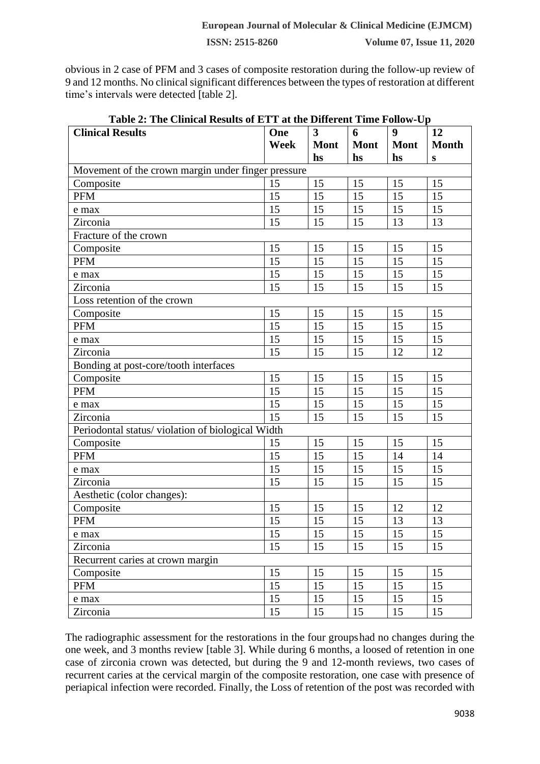obvious in 2 case of PFM and 3 cases of composite restoration during the follow-up review of 9 and 12 months. No clinical significant differences between the types of restoration at different time's intervals were detected [table 2].

| Table 2: The Clinical Results of ETT at the Different Time Follow-Up |      |                         |             |             |              |  |  |  |  |
|----------------------------------------------------------------------|------|-------------------------|-------------|-------------|--------------|--|--|--|--|
| <b>Clinical Results</b>                                              | One  | $\overline{\mathbf{3}}$ | 6           | 9           | 12           |  |  |  |  |
|                                                                      | Week | <b>Mont</b>             | <b>Mont</b> | <b>Mont</b> | <b>Month</b> |  |  |  |  |
|                                                                      |      | hs                      | hs          | hs          | ${\bf S}$    |  |  |  |  |
| Movement of the crown margin under finger pressure                   |      |                         |             |             |              |  |  |  |  |
| Composite                                                            | 15   | 15                      | 15          | 15          | 15           |  |  |  |  |
| <b>PFM</b>                                                           | 15   | 15                      | 15          | 15          | 15           |  |  |  |  |
| e max                                                                | 15   | 15                      | 15          | 15          | 15           |  |  |  |  |
| Zirconia                                                             | 15   | 15                      | 15          | 13          | 13           |  |  |  |  |
| Fracture of the crown                                                |      |                         |             |             |              |  |  |  |  |
| Composite                                                            | 15   | 15                      | 15          | 15          | 15           |  |  |  |  |
| <b>PFM</b>                                                           | 15   | 15                      | 15          | 15          | 15           |  |  |  |  |
| e max                                                                | 15   | 15                      | 15          | 15          | 15           |  |  |  |  |
| Zirconia                                                             | 15   | 15                      | 15          | 15          | 15           |  |  |  |  |
| Loss retention of the crown                                          |      |                         |             |             |              |  |  |  |  |
| Composite                                                            | 15   | 15                      | 15          | 15          | 15           |  |  |  |  |
| <b>PFM</b>                                                           | 15   | 15                      | 15          | 15          | 15           |  |  |  |  |
| e max                                                                | 15   | 15                      | 15          | 15          | 15           |  |  |  |  |
| Zirconia                                                             | 15   | 15                      | 15          | 12          | 12           |  |  |  |  |
| Bonding at post-core/tooth interfaces                                |      |                         |             |             |              |  |  |  |  |
| Composite                                                            | 15   | 15                      | 15          | 15          | 15           |  |  |  |  |
| <b>PFM</b>                                                           | 15   | 15                      | 15          | 15          | 15           |  |  |  |  |
| e max                                                                | 15   | 15                      | 15          | 15          | 15           |  |  |  |  |
| Zirconia                                                             | 15   | 15                      | 15          | 15          | 15           |  |  |  |  |
| Periodontal status/violation of biological Width                     |      |                         |             |             |              |  |  |  |  |
| Composite                                                            | 15   | 15                      | 15          | 15          | 15           |  |  |  |  |
| <b>PFM</b>                                                           | 15   | 15                      | 15          | 14          | 14           |  |  |  |  |
| e max                                                                | 15   | 15                      | 15          | 15          | 15           |  |  |  |  |
| Zirconia                                                             | 15   | 15                      | 15          | 15          | 15           |  |  |  |  |
| Aesthetic (color changes):                                           |      |                         |             |             |              |  |  |  |  |
| Composite                                                            | 15   | 15                      | 15          | 12          | 12           |  |  |  |  |
| PFM                                                                  | 15   | 15                      | 15          | 13          | 13           |  |  |  |  |
| e max                                                                | 15   | 15                      | 15          | 15          | 15           |  |  |  |  |
| Zirconia                                                             | 15   | 15                      | 15          | 15          | 15           |  |  |  |  |
| Recurrent caries at crown margin                                     |      |                         |             |             |              |  |  |  |  |
| Composite                                                            | 15   | 15                      | 15          | 15          | 15           |  |  |  |  |
| <b>PFM</b>                                                           | 15   | 15                      | 15          | 15          | 15           |  |  |  |  |
| e max                                                                | 15   | 15                      | 15          | 15          | 15           |  |  |  |  |
| Zirconia                                                             | 15   | 15                      | 15          | 15          | 15           |  |  |  |  |

The radiographic assessment for the restorations in the four groupshad no changes during the one week, and 3 months review [table 3]. While during 6 months, a loosed of retention in one case of zirconia crown was detected, but during the 9 and 12-month reviews, two cases of recurrent caries at the cervical margin of the composite restoration, one case with presence of periapical infection were recorded. Finally, the Loss of retention of the post was recorded with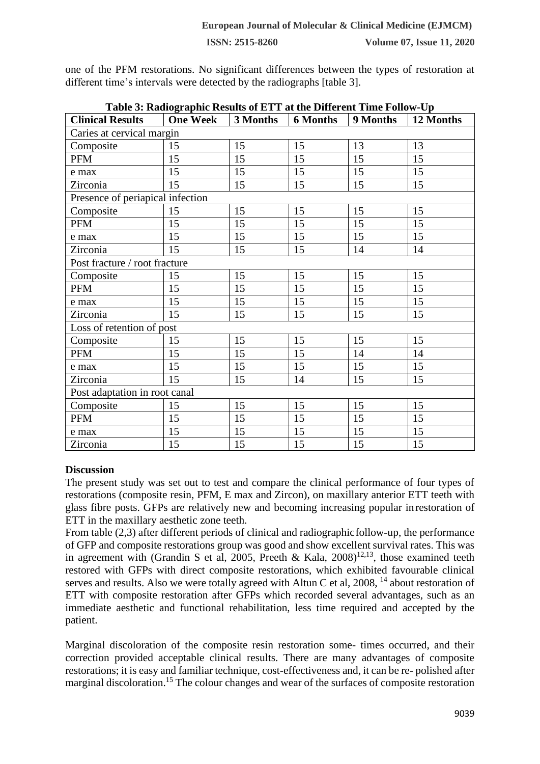one of the PFM restorations. No significant differences between the types of restoration at different time's intervals were detected by the radiographs [table 3].

| Table 5. Kadiographic Kesults of ETT at the Different Thire Follow-Op- |                 |          |                 |          |           |  |  |  |  |  |
|------------------------------------------------------------------------|-----------------|----------|-----------------|----------|-----------|--|--|--|--|--|
| <b>Clinical Results</b>                                                | <b>One Week</b> | 3 Months | <b>6 Months</b> | 9 Months | 12 Months |  |  |  |  |  |
| Caries at cervical margin                                              |                 |          |                 |          |           |  |  |  |  |  |
| Composite                                                              | 15              | 15       | 15              | 13       | 13        |  |  |  |  |  |
| <b>PFM</b>                                                             | 15              | 15       | 15              | 15       | 15        |  |  |  |  |  |
| e max                                                                  | 15              | 15       | 15              | 15       | 15        |  |  |  |  |  |
| Zirconia                                                               | 15              | 15       | 15              | 15       | 15        |  |  |  |  |  |
| Presence of periapical infection                                       |                 |          |                 |          |           |  |  |  |  |  |
| Composite                                                              | 15              | 15       | 15              | 15       | 15        |  |  |  |  |  |
| <b>PFM</b>                                                             | 15              | 15       | 15              | 15       | 15        |  |  |  |  |  |
| e max                                                                  | 15              | 15       | 15              | 15       | 15        |  |  |  |  |  |
| Zirconia                                                               | 15              | 15       | 15              | 14       | 14        |  |  |  |  |  |
| Post fracture / root fracture                                          |                 |          |                 |          |           |  |  |  |  |  |
| Composite                                                              | 15              | 15       | 15              | 15       | 15        |  |  |  |  |  |
| PFM                                                                    | 15              | 15       | 15              | 15       | 15        |  |  |  |  |  |
| e max                                                                  | 15              | 15       | 15              | 15       | 15        |  |  |  |  |  |
| Zirconia                                                               | 15              | 15       | 15              | 15       | 15        |  |  |  |  |  |
| Loss of retention of post                                              |                 |          |                 |          |           |  |  |  |  |  |
| Composite                                                              | 15              | 15       | 15              | 15       | 15        |  |  |  |  |  |
| PFM                                                                    | 15              | 15       | 15              | 14       | 14        |  |  |  |  |  |
| e max                                                                  | 15              | 15       | 15              | 15       | 15        |  |  |  |  |  |
| Zirconia                                                               | 15              | 15       | 14              | 15       | 15        |  |  |  |  |  |
| Post adaptation in root canal                                          |                 |          |                 |          |           |  |  |  |  |  |
| Composite                                                              | 15              | 15       | 15              | 15       | 15        |  |  |  |  |  |
| <b>PFM</b>                                                             | 15              | 15       | 15              | 15       | 15        |  |  |  |  |  |
| e max                                                                  | 15              | 15       | 15              | 15       | 15        |  |  |  |  |  |
| Zirconia                                                               | 15              | 15       | 15              | 15       | 15        |  |  |  |  |  |

**Table 3: Radiographic Results of ETT at the Different Time Follow-Up**

## **Discussion**

The present study was set out to test and compare the clinical performance of four types of restorations (composite resin, PFM, E max and Zircon), on maxillary anterior ETT teeth with glass fibre posts. GFPs are relatively new and becoming increasing popular in restoration of ETT in the maxillary aesthetic zone teeth.

From table (2,3) after different periods of clinical and radiographicfollow-up, the performance of GFP and composite restorations group was good and show excellent survival rates. This was in agreement with (Grandin S et al, 2005, Preeth & Kala,  $2008$ )<sup>12,13</sup>, those examined teeth restored with GFPs with direct composite restorations, which exhibited favourable clinical serves and results. Also we were totally agreed with Altun C et al.  $2008$ ,  $^{14}$  about restoration of ETT with composite restoration after GFPs which recorded several advantages, such as an immediate aesthetic and functional rehabilitation, less time required and accepted by the patient.

Marginal discoloration of the composite resin restoration some- times occurred, and their correction provided acceptable clinical results. There are many advantages of composite restorations; it is easy and familiar technique, cost-effectiveness and, it can be re- polished after marginal discoloration.<sup>15</sup> The colour changes and wear of the surfaces of composite restoration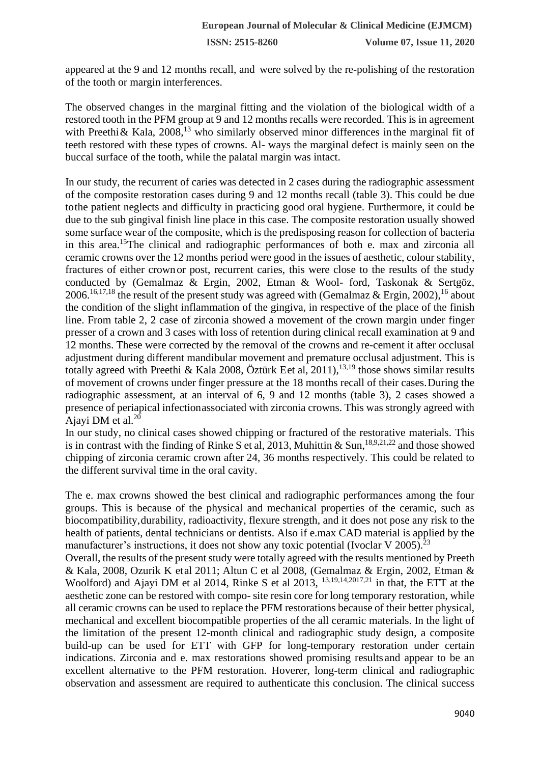appeared at the 9 and 12 months recall, and were solved by the re-polishing of the restoration of the tooth or margin interferences.

The observed changes in the marginal fitting and the violation of the biological width of a restored tooth in the PFM group at 9 and 12 months recalls were recorded. This is in agreement with Preethi & Kala,  $2008$ ,<sup>13</sup> who similarly observed minor differences in the marginal fit of teeth restored with these types of crowns. Al- ways the marginal defect is mainly seen on the buccal surface of the tooth, while the palatal margin was intact.

In our study, the recurrent of caries was detected in 2 cases during the radiographic assessment of the composite restoration cases during 9 and 12 months recall (table 3). This could be due tothe patient neglects and difficulty in practicing good oral hygiene. Furthermore, it could be due to the sub gingival finish line place in this case. The composite restoration usually showed some surface wear of the composite, which is the predisposing reason for collection of bacteria in this area.<sup>15</sup>The clinical and radiographic performances of both e. max and zirconia all ceramic crowns over the 12 months period were good in the issues of aesthetic, colour stability, fractures of either crownor post, recurrent caries, this were close to the results of the study conducted by (Gemalmaz & Ergin, 2002, Etman & Wool- ford, Taskonak & Sertgöz, 2006.<sup>16,17,18</sup> the result of the present study was agreed with (Gemalmaz & Ergin, 2002), <sup>16</sup> about the condition of the slight inflammation of the gingiva, in respective of the place of the finish line. From table 2, 2 case of zirconia showed a movement of the crown margin under finger presser of a crown and 3 cases with loss of retention during clinical recall examination at 9 and 12 months. These were corrected by the removal of the crowns and re-cement it after occlusal adjustment during different mandibular movement and premature occlusal adjustment. This is totally agreed with Preethi & Kala 2008, Öztürk Eet al, 2011),<sup>13,19</sup> those shows similar results of movement of crowns under finger pressure at the 18 months recall of their cases.During the radiographic assessment, at an interval of 6, 9 and 12 months (table 3), 2 cases showed a presence of periapical infectionassociated with zirconia crowns. This was strongly agreed with Ajayi DM et al. $20$ 

In our study, no clinical cases showed chipping or fractured of the restorative materials. This is in contrast with the finding of Rinke S et al, 2013, Muhittin & Sun,<sup>18,9,21,22</sup> and those showed chipping of zirconia ceramic crown after 24, 36 months respectively. This could be related to the different survival time in the oral cavity.

The e. max crowns showed the best clinical and radiographic performances among the four groups. This is because of the physical and mechanical properties of the ceramic, such as biocompatibility,durability, radioactivity, flexure strength, and it does not pose any risk to the health of patients, dental technicians or dentists. Also if e.max CAD material is applied by the manufacturer's instructions, it does not show any toxic potential (Ivoclar V 2005).<sup>23</sup>

Overall, the results of the present study were totally agreed with the results mentioned by Preeth & Kala, 2008, Ozurik K etal 2011; Altun C et al 2008, (Gemalmaz & Ergin, 2002, Etman & Woolford) and Ajayi DM et al 2014, Rinke S et al 2013, <sup>13,19,14,2017,21</sup> in that, the ETT at the aesthetic zone can be restored with compo- site resin core for long temporary restoration, while all ceramic crowns can be used to replace the PFM restorations because of their better physical, mechanical and excellent biocompatible properties of the all ceramic materials. In the light of the limitation of the present 12-month clinical and radiographic study design, a composite build-up can be used for ETT with GFP for long-temporary restoration under certain indications. Zirconia and e. max restorations showed promising results and appear to be an excellent alternative to the PFM restoration. Hoverer, long-term clinical and radiographic observation and assessment are required to authenticate this conclusion. The clinical success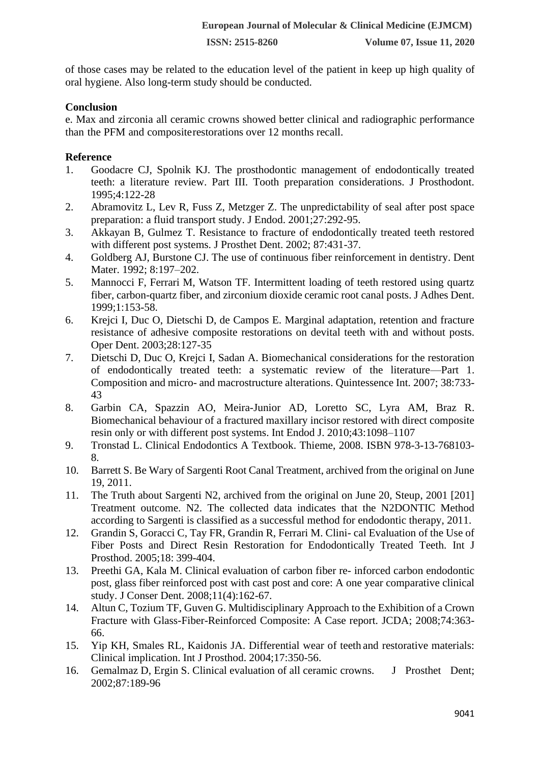of those cases may be related to the education level of the patient in keep up high quality of oral hygiene. Also long-term study should be conducted.

## **Conclusion**

e. Max and zirconia all ceramic crowns showed better clinical and radiographic performance than the PFM and compositerestorations over 12 months recall.

## **Reference**

- 1. Goodacre CJ, Spolnik KJ. The prosthodontic management of endodontically treated teeth: a literature review. Part III. Tooth preparation considerations. J Prosthodont. 1995;4:122-28
- 2. Abramovitz L, Lev R, Fuss Z, Metzger Z. The unpredictability of seal after post space preparation: a fluid transport study. J Endod. 2001;27:292-95.
- 3. Akkayan B, Gulmez T. Resistance to fracture of endodontically treated teeth restored with different post systems. J Prosthet Dent. 2002; 87:431-37.
- 4. Goldberg AJ, Burstone CJ. The use of continuous fiber reinforcement in dentistry. Dent Mater. 1992; 8:197–202.
- 5. Mannocci F, Ferrari M, Watson TF. Intermittent loading of teeth restored using quartz fiber, carbon-quartz fiber, and zirconium dioxide ceramic root canal posts. J Adhes Dent. 1999;1:153-58.
- 6. Krejci I, Duc O, Dietschi D, de Campos E. Marginal adaptation, retention and fracture resistance of adhesive composite restorations on devital teeth with and without posts. Oper Dent. 2003;28:127-35
- 7. Dietschi D, Duc O, Krejci I, Sadan A. Biomechanical considerations for the restoration of endodontically treated teeth: a systematic review of the literature—Part 1. Composition and micro- and macrostructure alterations. Quintessence Int. 2007; 38:733- 43
- 8. Garbin CA, Spazzin AO, Meira-Junior AD, Loretto SC, Lyra AM, Braz R. Biomechanical behaviour of a fractured maxillary incisor restored with direct composite resin only or with different post systems. Int Endod J. 2010;43:1098–1107
- 9. Tronstad L. Clinical Endodontics A Textbook. Thieme, 2008. ISBN 978-3-13-768103- 8.
- 10. Barrett S. Be Wary of Sargenti Root Canal Treatment, archived from the original on June 19, 2011.
- 11. The Truth about Sargenti N2, archived from the original on June 20, Steup, 2001 [201] Treatment outcome. N2. The collected data indicates that the N2DONTIC Method according to Sargenti is classified as a successful method for endodontic therapy, 2011.
- 12. Grandin S, Goracci C, Tay FR, Grandin R, Ferrari M. Clini- cal Evaluation of the Use of Fiber Posts and Direct Resin Restoration for Endodontically Treated Teeth. Int J Prosthod. 2005;18: 399-404.
- 13. [Preethi G](http://www.ncbi.nlm.nih.gov/pubmed/?term=Preethi%20G%5Bauth%5D)A, [Kala M](http://www.ncbi.nlm.nih.gov/pubmed/?term=Kala%20M%5Bauth%5D). Clinical evaluation of carbon fiber re- inforced carbon endodontic post, glass fiber reinforced post with cast post and core: A one year comparative clinical study. J Conser Dent. 2008;11(4):162-67.
- 14. Altun C, Tozium TF, Guven G. Multidisciplinary Approach to the Exhibition of a Crown Fracture with Glass-Fiber-Reinforced Composite: A Case report. JCDA; 2008;74:363- 66.
- 15. Yip KH, Smales RL, Kaidonis JA. Differential wear of teeth and restorative materials: Clinical implication. Int J Prosthod. 2004;17:350-56.
- 16. Gemalmaz D, Ergin S. Clinical evaluation of all ceramic crowns. J Prosthet Dent; 2002;87:189-96